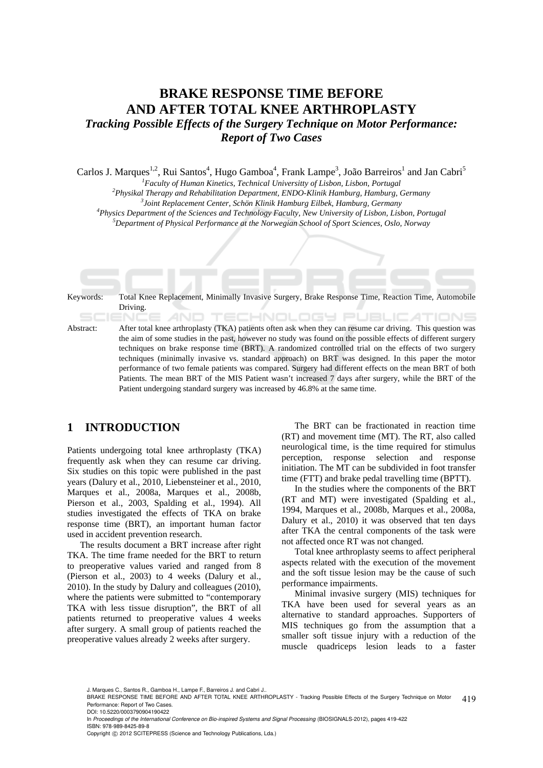# **BRAKE RESPONSE TIME BEFORE AND AFTER TOTAL KNEE ARTHROPLASTY**  *Tracking Possible Effects of the Surgery Technique on Motor Performance: Report of Two Cases*

Carlos J. Marques<sup>1,2</sup>, Rui Santos<sup>4</sup>, Hugo Gamboa<sup>4</sup>, Frank Lampe<sup>3</sup>, João Barreiros<sup>1</sup> and Jan Cabri<sup>5</sup>

<sup>1</sup> Faculty of Human Kinetics, Technical Universitty of Lisbon, Lisbon, Portugal<br><sup>2</sup> Physikal Theramy and Pohabilitation Department, ENDO Klinik Hamburg, Hamburg, C

*Physikal Therapy and Rehabilitation Department, ENDO-Klinik Hamburg, Hamburg, Germany 3*

*Joint Replacement Center, Schön Klinik Hamburg Eilbek, Hamburg, Germany 4*

<sup>4</sup>Physics Department of the Sciences and Technology Faculty, New University of Lisbon, Lisbon, Portugal

*Department of Physical Performance at the Norwegian School of Sport Sciences, Oslo, Norway* 

Keywords: Total Knee Replacement, Minimally Invasive Surgery, Brake Response Time, Reaction Time, Automobile Driving. TECHNOLOGY PUBLIC ATIONS

Abstract: After total knee arthroplasty (TKA) patients often ask when they can resume car driving. This question was the aim of some studies in the past, however no study was found on the possible effects of different surgery techniques on brake response time (BRT). A randomized controlled trial on the effects of two surgery techniques (minimally invasive vs. standard approach) on BRT was designed. In this paper the motor performance of two female patients was compared. Surgery had different effects on the mean BRT of both Patients. The mean BRT of the MIS Patient wasn't increased 7 days after surgery, while the BRT of the Patient undergoing standard surgery was increased by 46.8% at the same time.

# **1 INTRODUCTION**

Patients undergoing total knee arthroplasty (TKA) frequently ask when they can resume car driving. Six studies on this topic were published in the past years (Dalury et al., 2010, Liebensteiner et al., 2010, Marques et al., 2008a, Marques et al., 2008b, Pierson et al., 2003, Spalding et al., 1994). All studies investigated the effects of TKA on brake response time (BRT), an important human factor used in accident prevention research.

The results document a BRT increase after right TKA. The time frame needed for the BRT to return to preoperative values varied and ranged from 8 (Pierson et al., 2003) to 4 weeks (Dalury et al., 2010). In the study by Dalury and colleagues (2010), where the patients were submitted to "contemporary TKA with less tissue disruption", the BRT of all patients returned to preoperative values 4 weeks after surgery. A small group of patients reached the preoperative values already 2 weeks after surgery.

The BRT can be fractionated in reaction time (RT) and movement time (MT). The RT, also called neurological time, is the time required for stimulus perception, response selection and response initiation. The MT can be subdivided in foot transfer time (FTT) and brake pedal travelling time (BPTT).

In the studies where the components of the BRT (RT and MT) were investigated (Spalding et al., 1994, Marques et al., 2008b, Marques et al., 2008a, Dalury et al., 2010) it was observed that ten days after TKA the central components of the task were not affected once RT was not changed.

Total knee arthroplasty seems to affect peripheral aspects related with the execution of the movement and the soft tissue lesion may be the cause of such performance impairments.

Minimal invasive surgery (MIS) techniques for TKA have been used for several years as an alternative to standard approaches. Supporters of MIS techniques go from the assumption that a smaller soft tissue injury with a reduction of the muscle quadriceps lesion leads to a faster

J. Marques C., Santos R., Gamboa H., Lampe F., Barreiros J. and Cabri J..

<sup>419</sup> BRAKE RESPONSE TIME BEFORE AND AFTER TOTAL KNEE ARTHROPLASTY - Tracking Possible Effects of the Surgery Technique on Motor Performance: Report of Two Cases.

DOI: 10.5220/0003790904190422

In *Proceedings of the International Conference on Bio-inspired Systems and Signal Processing* (BIOSIGNALS-2012), pages 419-422 ISBN: 978-989-8425-89-8

Copyright © 2012 SCITEPRESS (Science and Technology Publications, Lda.)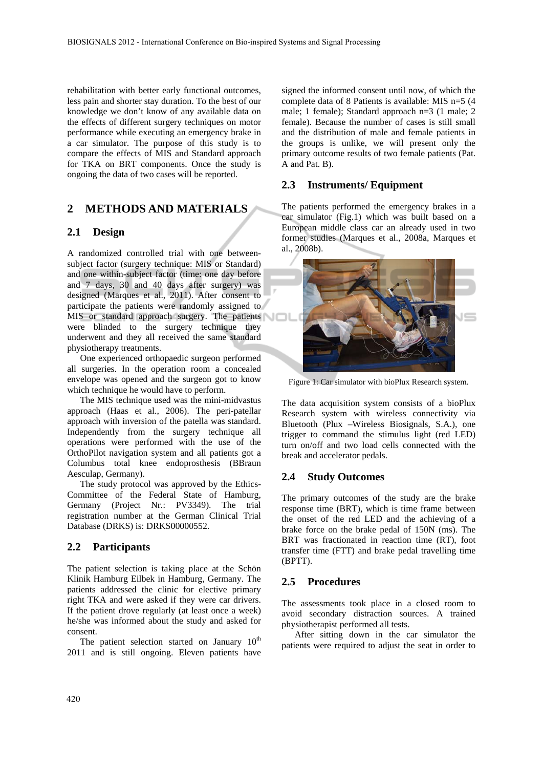rehabilitation with better early functional outcomes, less pain and shorter stay duration. To the best of our knowledge we don't know of any available data on the effects of different surgery techniques on motor performance while executing an emergency brake in a car simulator. The purpose of this study is to compare the effects of MIS and Standard approach for TKA on BRT components. Once the study is ongoing the data of two cases will be reported.

# **2 METHODS AND MATERIALS**

#### **2.1 Design**

A randomized controlled trial with one betweensubject factor (surgery technique: MIS or Standard) and one within-subject factor (time: one day before and 7 days, 30 and 40 days after surgery) was designed (Marques et al., 2011). After consent to participate the patients were randomly assigned to MIS or standard approach surgery. The patients were blinded to the surgery technique they underwent and they all received the same standard physiotherapy treatments.

One experienced orthopaedic surgeon performed all surgeries. In the operation room a concealed envelope was opened and the surgeon got to know which technique he would have to perform.

The MIS technique used was the mini-midvastus approach (Haas et al., 2006). The peri-patellar approach with inversion of the patella was standard. Independently from the surgery technique all operations were performed with the use of the OrthoPilot navigation system and all patients got a Columbus total knee endoprosthesis (BBraun Aesculap, Germany).

The study protocol was approved by the Ethics-Committee of the Federal State of Hamburg, Germany (Project Nr.: PV3349). The trial registration number at the German Clinical Trial Database (DRKS) is: DRKS00000552.

#### **2.2 Participants**

The patient selection is taking place at the Schön Klinik Hamburg Eilbek in Hamburg, Germany. The patients addressed the clinic for elective primary right TKA and were asked if they were car drivers. If the patient drove regularly (at least once a week) he/she was informed about the study and asked for consent.

The patient selection started on January  $10<sup>th</sup>$ 2011 and is still ongoing. Eleven patients have

signed the informed consent until now, of which the complete data of 8 Patients is available: MIS n=5 (4 male; 1 female); Standard approach n=3 (1 male; 2 female). Because the number of cases is still small and the distribution of male and female patients in the groups is unlike, we will present only the primary outcome results of two female patients (Pat. A and Pat. B).

# **2.3 Instruments/ Equipment**

The patients performed the emergency brakes in a car simulator (Fig.1) which was built based on a European middle class car an already used in two former studies (Marques et al., 2008a, Marques et al., 2008b).



Figure 1: Car simulator with bioPlux Research system.

The data acquisition system consists of a bioPlux Research system with wireless connectivity via Bluetooth (Plux –Wireless Biosignals, S.A.), one trigger to command the stimulus light (red LED) turn on/off and two load cells connected with the break and accelerator pedals.

#### **2.4 Study Outcomes**

The primary outcomes of the study are the brake response time (BRT), which is time frame between the onset of the red LED and the achieving of a brake force on the brake pedal of 150N (ms). The BRT was fractionated in reaction time (RT), foot transfer time (FTT) and brake pedal travelling time (BPTT).

#### **2.5 Procedures**

The assessments took place in a closed room to avoid secondary distraction sources. A trained physiotherapist performed all tests.

After sitting down in the car simulator the patients were required to adjust the seat in order to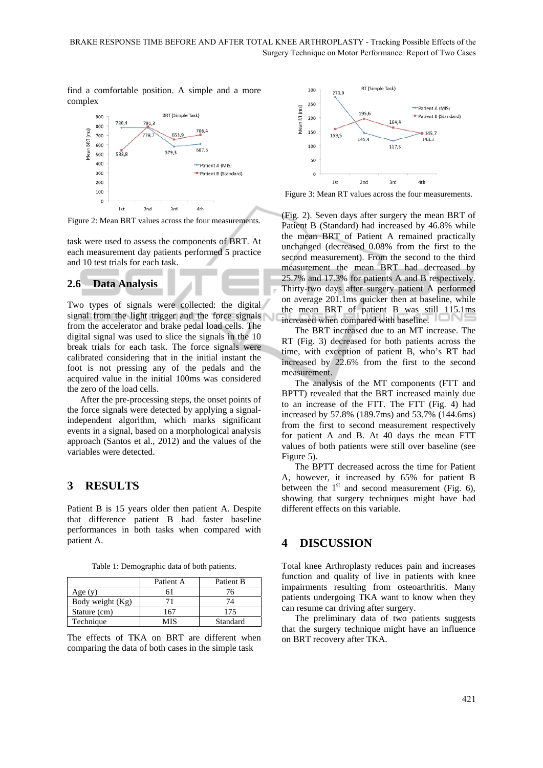find a comfortable position. A simple and a more complex



Figure 2: Mean BRT values across the four measurements.

task were used to assess the components of BRT. At each measurement day patients performed 5 practice and 10 test trials for each task.

#### **2.6 Data Analysis**

Two types of signals were collected: the digital signal from the light trigger and the force signals from the accelerator and brake pedal load cells. The digital signal was used to slice the signals in the 10 break trials for each task. The force signals were calibrated considering that in the initial instant the foot is not pressing any of the pedals and the acquired value in the initial 100ms was considered the zero of the load cells.

After the pre-processing steps, the onset points of the force signals were detected by applying a signalindependent algorithm, which marks significant events in a signal, based on a morphological analysis approach (Santos et al., 2012) and the values of the variables were detected.

# **3 RESULTS**

Patient B is 15 years older then patient A. Despite that difference patient B had faster baseline performances in both tasks when compared with patient A.

Table 1: Demographic data of both patients.

|                  | Patient A | Patient B |
|------------------|-----------|-----------|
| Age $(y)$        |           | 76.       |
| Body weight (Kg) |           |           |
| Stature (cm)     | 167       | 175       |
| Technique        | MIS       | Standard  |

The effects of TKA on BRT are different when comparing the data of both cases in the simple task



Figure 3: Mean RT values across the four measurements.

(Fig. 2). Seven days after surgery the mean BRT of Patient B (Standard) had increased by 46.8% while the mean BRT of Patient A remained practically unchanged (decreased 0.08% from the first to the second measurement). From the second to the third measurement the mean BRT had decreased by 25.7% and 17.3% for patients A and B respectively. Thirty-two days after surgery patient A performed on average 201.1ms quicker then at baseline, while the mean BRT of patient B was still 115.1ms increased when compared with baseline.

The BRT increased due to an MT increase. The RT (Fig. 3) decreased for both patients across the time, with exception of patient B, who's RT had increased by 22.6% from the first to the second measurement.

The analysis of the MT components (FTT and BPTT) revealed that the BRT increased mainly due to an increase of the FTT. The FTT (Fig. 4) had increased by 57.8% (189.7ms) and 53.7% (144.6ms) from the first to second measurement respectively for patient A and B. At 40 days the mean FTT values of both patients were still over baseline (see Figure 5).

The BPTT decreased across the time for Patient A, however, it increased by 65% for patient B between the  $1<sup>st</sup>$  and second measurement (Fig. 6), showing that surgery techniques might have had different effects on this variable.

### **4 DISCUSSION**

Total knee Arthroplasty reduces pain and increases function and quality of live in patients with knee impairments resulting from osteoarthritis. Many patients undergoing TKA want to know when they can resume car driving after surgery.

The preliminary data of two patients suggests that the surgery technique might have an influence on BRT recovery after TKA.